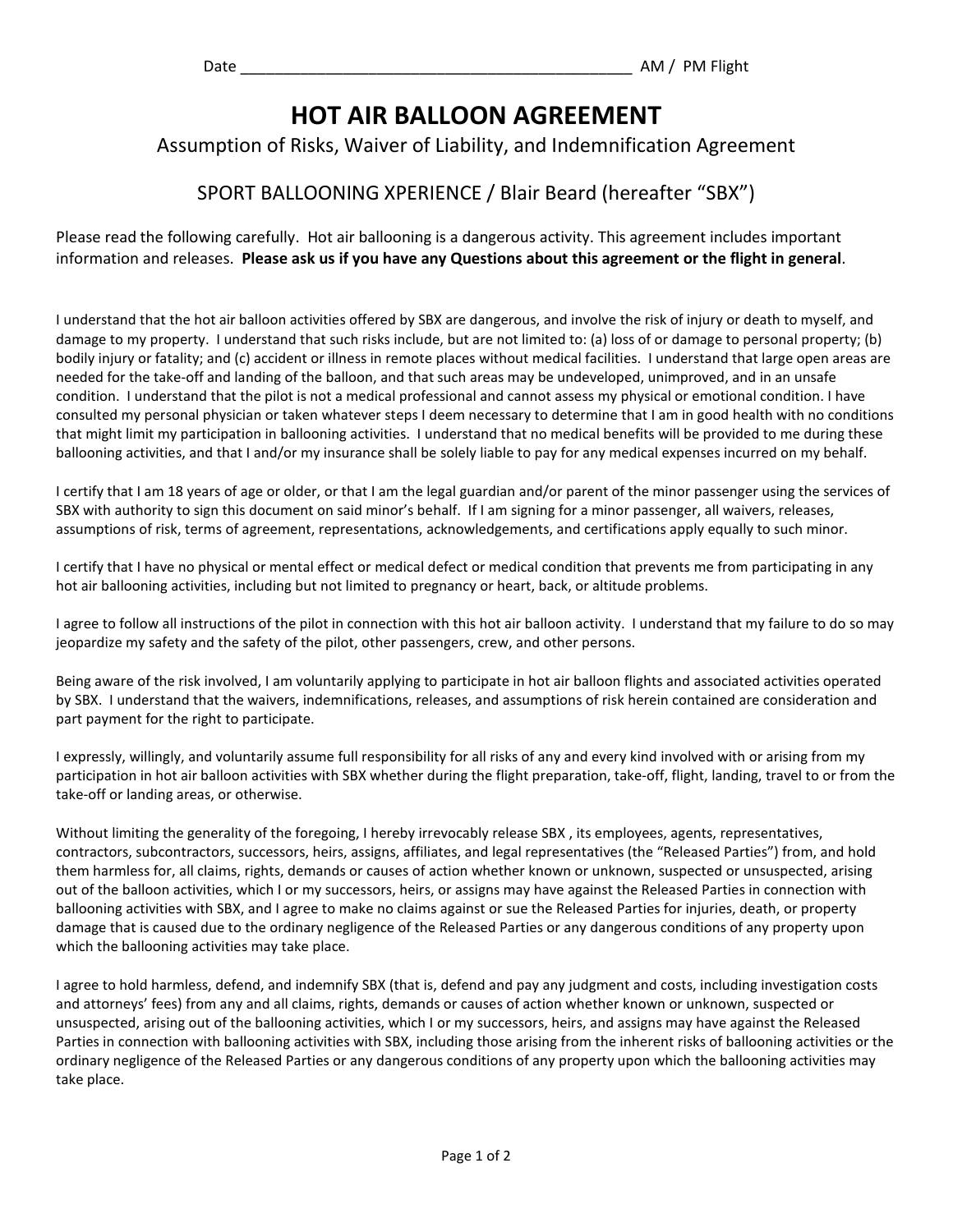## **HOT AIR BALLOON AGREEMENT**

## Assumption of Risks, Waiver of Liability, and Indemnification Agreement

## SPORT BALLOONING XPERIENCE / Blair Beard (hereafter "SBX")

Please read the following carefully. Hot air ballooning is a dangerous activity. This agreement includes important information and releases. **Please ask us if you have any Questions about this agreement or the flight in general**.

I understand that the hot air balloon activities offered by SBX are dangerous, and involve the risk of injury or death to myself, and damage to my property. I understand that such risks include, but are not limited to: (a) loss of or damage to personal property; (b) bodily injury or fatality; and (c) accident or illness in remote places without medical facilities. I understand that large open areas are needed for the take-off and landing of the balloon, and that such areas may be undeveloped, unimproved, and in an unsafe condition. I understand that the pilot is not a medical professional and cannot assess my physical or emotional condition. I have consulted my personal physician or taken whatever steps I deem necessary to determine that I am in good health with no conditions that might limit my participation in ballooning activities. I understand that no medical benefits will be provided to me during these ballooning activities, and that I and/or my insurance shall be solely liable to pay for any medical expenses incurred on my behalf.

I certify that I am 18 years of age or older, or that I am the legal guardian and/or parent of the minor passenger using the services of SBX with authority to sign this document on said minor's behalf. If I am signing for a minor passenger, all waivers, releases, assumptions of risk, terms of agreement, representations, acknowledgements, and certifications apply equally to such minor.

I certify that I have no physical or mental effect or medical defect or medical condition that prevents me from participating in any hot air ballooning activities, including but not limited to pregnancy or heart, back, or altitude problems.

I agree to follow all instructions of the pilot in connection with this hot air balloon activity. I understand that my failure to do so may jeopardize my safety and the safety of the pilot, other passengers, crew, and other persons.

Being aware of the risk involved, I am voluntarily applying to participate in hot air balloon flights and associated activities operated by SBX. I understand that the waivers, indemnifications, releases, and assumptions of risk herein contained are consideration and part payment for the right to participate.

I expressly, willingly, and voluntarily assume full responsibility for all risks of any and every kind involved with or arising from my participation in hot air balloon activities with SBX whether during the flight preparation, take-off, flight, landing, travel to or from the take-off or landing areas, or otherwise.

Without limiting the generality of the foregoing, I hereby irrevocably release SBX , its employees, agents, representatives, contractors, subcontractors, successors, heirs, assigns, affiliates, and legal representatives (the "Released Parties") from, and hold them harmless for, all claims, rights, demands or causes of action whether known or unknown, suspected or unsuspected, arising out of the balloon activities, which I or my successors, heirs, or assigns may have against the Released Parties in connection with ballooning activities with SBX, and I agree to make no claims against or sue the Released Parties for injuries, death, or property damage that is caused due to the ordinary negligence of the Released Parties or any dangerous conditions of any property upon which the ballooning activities may take place.

I agree to hold harmless, defend, and indemnify SBX (that is, defend and pay any judgment and costs, including investigation costs and attorneys' fees) from any and all claims, rights, demands or causes of action whether known or unknown, suspected or unsuspected, arising out of the ballooning activities, which I or my successors, heirs, and assigns may have against the Released Parties in connection with ballooning activities with SBX, including those arising from the inherent risks of ballooning activities or the ordinary negligence of the Released Parties or any dangerous conditions of any property upon which the ballooning activities may take place.